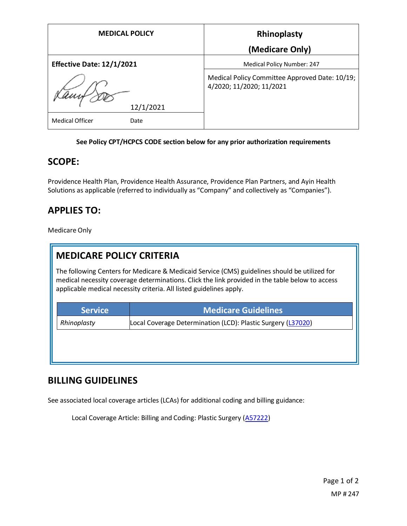| <b>MEDICAL POLICY</b>            |           | Rhinoplasty                                                                |
|----------------------------------|-----------|----------------------------------------------------------------------------|
|                                  |           | (Medicare Only)                                                            |
| <b>Effective Date: 12/1/2021</b> |           | <b>Medical Policy Number: 247</b>                                          |
|                                  |           | Medical Policy Committee Approved Date: 10/19;<br>4/2020; 11/2020; 11/2021 |
|                                  | 12/1/2021 |                                                                            |
| <b>Medical Officer</b>           | Date      |                                                                            |

#### **See Policy CPT/HCPCS CODE section below for any prior authorization requirements**

### **SCOPE:**

Providence Health Plan, Providence Health Assurance, Providence Plan Partners, and Ayin Health Solutions as applicable (referred to individually as "Company" and collectively as "Companies").

## **APPLIES TO:**

Medicare Only

# **MEDICARE POLICY CRITERIA**

The following Centers for Medicare & Medicaid Service (CMS) guidelines should be utilized for medical necessity coverage determinations. Click the link provided in the table below to access applicable medical necessity criteria. All listed guidelines apply.

| <b>Service</b> | <b>Medicare Guidelines</b>                                   |
|----------------|--------------------------------------------------------------|
| Rhinoplasty    | Local Coverage Determination (LCD): Plastic Surgery (L37020) |
|                |                                                              |
|                |                                                              |
|                |                                                              |

### **BILLING GUIDELINES**

See associated local coverage articles (LCAs) for additional coding and billing guidance:

Local Coverage Article: Billing and Coding: Plastic Surgery [\(A57222\)](https://www.cms.gov/medicare-coverage-database/details/article-details.aspx?articleId=57222)